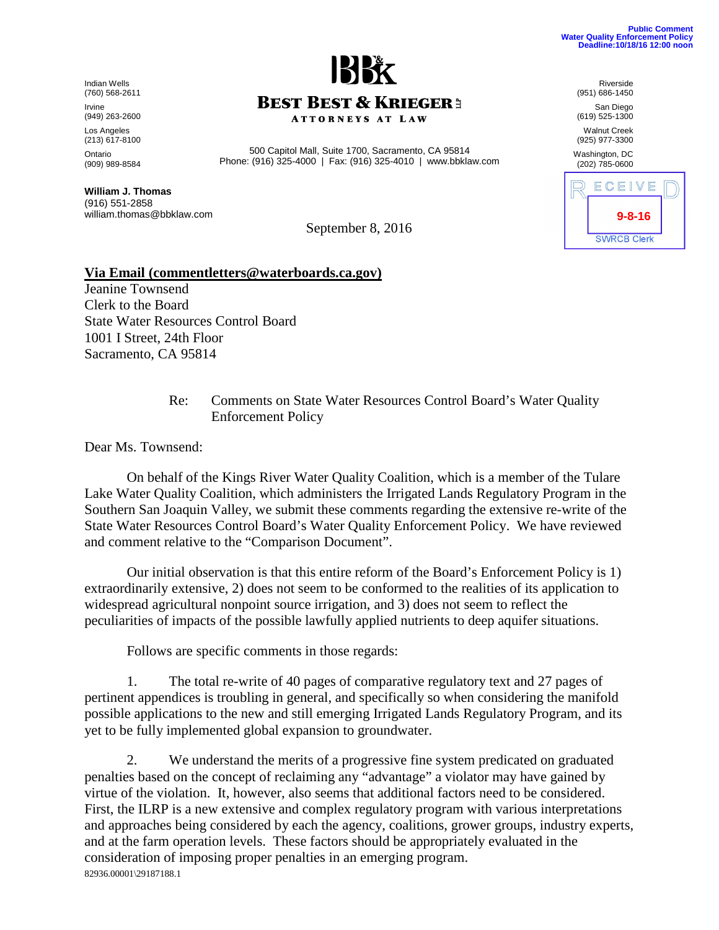**9-8-16**

ECEIVE

**SWRCB Clerk** 

Riverside (951) 686-1450 San Diego (619) 525-1300 Walnut Creek (925) 977-3300 Washington, DC (202) 785-0600

Indian Wells (760) 568-2611 Irvine (949) 263-2600 Los Angeles (213) 617-8100 Ontario (909) 989-8584 **BEST BEST & KRIEGER3 ATTORNEYS AT LAW** 

500 Capitol Mall, Suite 1700, Sacramento, CA 95814 Phone: (916) 325-4000 | Fax: (916) 325-4010 | www.bbklaw.com

**William J. Thomas** (916) 551-2858 william.thomas@bbklaw.com

September 8, 2016

## **Via Email (commentletters@waterboards.ca.gov)**

Jeanine Townsend Clerk to the Board State Water Resources Control Board 1001 I Street, 24th Floor Sacramento, CA 95814

> Re: Comments on State Water Resources Control Board's Water Quality Enforcement Policy

Dear Ms. Townsend:

On behalf of the Kings River Water Quality Coalition, which is a member of the Tulare Lake Water Quality Coalition, which administers the Irrigated Lands Regulatory Program in the Southern San Joaquin Valley, we submit these comments regarding the extensive re-write of the State Water Resources Control Board's Water Quality Enforcement Policy. We have reviewed and comment relative to the "Comparison Document".

Our initial observation is that this entire reform of the Board's Enforcement Policy is 1) extraordinarily extensive, 2) does not seem to be conformed to the realities of its application to widespread agricultural nonpoint source irrigation, and 3) does not seem to reflect the peculiarities of impacts of the possible lawfully applied nutrients to deep aquifer situations.

Follows are specific comments in those regards:

1. The total re-write of 40 pages of comparative regulatory text and 27 pages of pertinent appendices is troubling in general, and specifically so when considering the manifold possible applications to the new and still emerging Irrigated Lands Regulatory Program, and its yet to be fully implemented global expansion to groundwater.

82936.00001\29187188.1 2. We understand the merits of a progressive fine system predicated on graduated penalties based on the concept of reclaiming any "advantage" a violator may have gained by virtue of the violation. It, however, also seems that additional factors need to be considered. First, the ILRP is a new extensive and complex regulatory program with various interpretations and approaches being considered by each the agency, coalitions, grower groups, industry experts, and at the farm operation levels. These factors should be appropriately evaluated in the consideration of imposing proper penalties in an emerging program.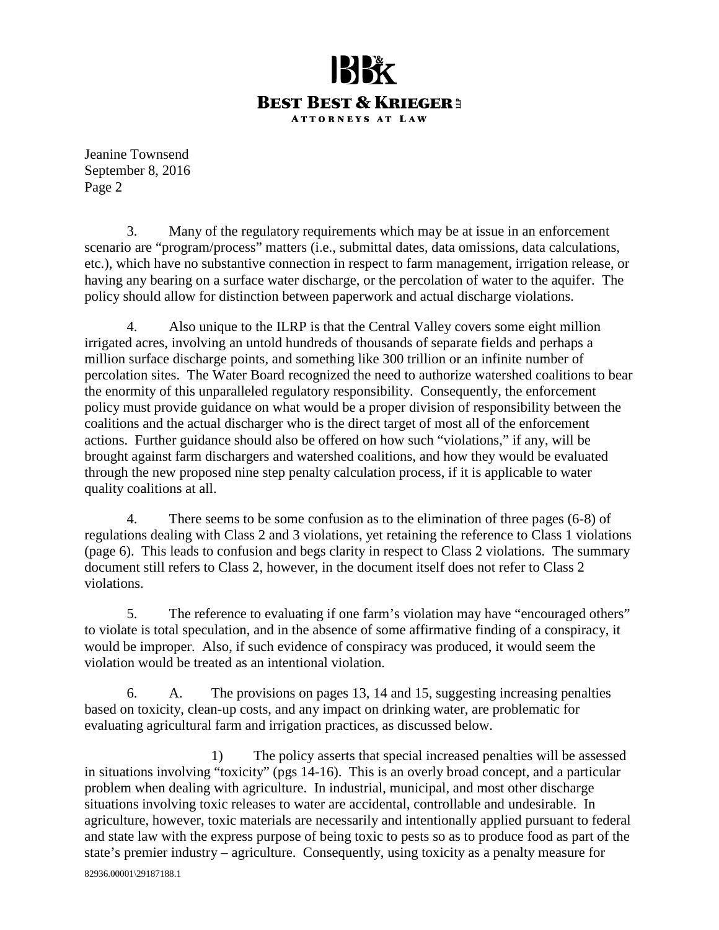## **BEST BEST & KRIEGER3 ATTORNEYS AT LAW**

Jeanine Townsend September 8, 2016 Page 2

3. Many of the regulatory requirements which may be at issue in an enforcement scenario are "program/process" matters (i.e., submittal dates, data omissions, data calculations, etc.), which have no substantive connection in respect to farm management, irrigation release, or having any bearing on a surface water discharge, or the percolation of water to the aquifer. The policy should allow for distinction between paperwork and actual discharge violations.

4. Also unique to the ILRP is that the Central Valley covers some eight million irrigated acres, involving an untold hundreds of thousands of separate fields and perhaps a million surface discharge points, and something like 300 trillion or an infinite number of percolation sites. The Water Board recognized the need to authorize watershed coalitions to bear the enormity of this unparalleled regulatory responsibility. Consequently, the enforcement policy must provide guidance on what would be a proper division of responsibility between the coalitions and the actual discharger who is the direct target of most all of the enforcement actions. Further guidance should also be offered on how such "violations," if any, will be brought against farm dischargers and watershed coalitions, and how they would be evaluated through the new proposed nine step penalty calculation process, if it is applicable to water quality coalitions at all.

4. There seems to be some confusion as to the elimination of three pages (6-8) of regulations dealing with Class 2 and 3 violations, yet retaining the reference to Class 1 violations (page 6). This leads to confusion and begs clarity in respect to Class 2 violations. The summary document still refers to Class 2, however, in the document itself does not refer to Class 2 violations.

5. The reference to evaluating if one farm's violation may have "encouraged others" to violate is total speculation, and in the absence of some affirmative finding of a conspiracy, it would be improper. Also, if such evidence of conspiracy was produced, it would seem the violation would be treated as an intentional violation.

6. A. The provisions on pages 13, 14 and 15, suggesting increasing penalties based on toxicity, clean-up costs, and any impact on drinking water, are problematic for evaluating agricultural farm and irrigation practices, as discussed below.

82936.00001\29187188.1 1) The policy asserts that special increased penalties will be assessed in situations involving "toxicity" (pgs 14-16). This is an overly broad concept, and a particular problem when dealing with agriculture. In industrial, municipal, and most other discharge situations involving toxic releases to water are accidental, controllable and undesirable. In agriculture, however, toxic materials are necessarily and intentionally applied pursuant to federal and state law with the express purpose of being toxic to pests so as to produce food as part of the state's premier industry – agriculture. Consequently, using toxicity as a penalty measure for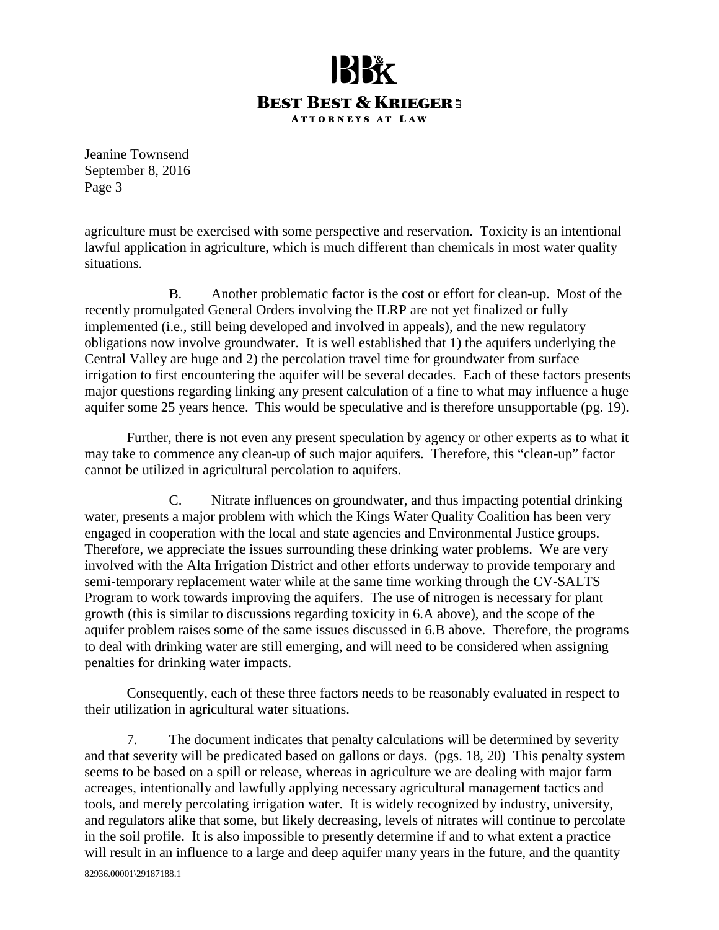

Jeanine Townsend September 8, 2016 Page 3

agriculture must be exercised with some perspective and reservation. Toxicity is an intentional lawful application in agriculture, which is much different than chemicals in most water quality situations.

B. Another problematic factor is the cost or effort for clean-up. Most of the recently promulgated General Orders involving the ILRP are not yet finalized or fully implemented (i.e., still being developed and involved in appeals), and the new regulatory obligations now involve groundwater. It is well established that 1) the aquifers underlying the Central Valley are huge and 2) the percolation travel time for groundwater from surface irrigation to first encountering the aquifer will be several decades. Each of these factors presents major questions regarding linking any present calculation of a fine to what may influence a huge aquifer some 25 years hence. This would be speculative and is therefore unsupportable (pg. 19).

Further, there is not even any present speculation by agency or other experts as to what it may take to commence any clean-up of such major aquifers. Therefore, this "clean-up" factor cannot be utilized in agricultural percolation to aquifers.

C. Nitrate influences on groundwater, and thus impacting potential drinking water, presents a major problem with which the Kings Water Quality Coalition has been very engaged in cooperation with the local and state agencies and Environmental Justice groups. Therefore, we appreciate the issues surrounding these drinking water problems. We are very involved with the Alta Irrigation District and other efforts underway to provide temporary and semi-temporary replacement water while at the same time working through the CV-SALTS Program to work towards improving the aquifers. The use of nitrogen is necessary for plant growth (this is similar to discussions regarding toxicity in 6.A above), and the scope of the aquifer problem raises some of the same issues discussed in 6.B above. Therefore, the programs to deal with drinking water are still emerging, and will need to be considered when assigning penalties for drinking water impacts.

Consequently, each of these three factors needs to be reasonably evaluated in respect to their utilization in agricultural water situations.

7. The document indicates that penalty calculations will be determined by severity and that severity will be predicated based on gallons or days. (pgs. 18, 20) This penalty system seems to be based on a spill or release, whereas in agriculture we are dealing with major farm acreages, intentionally and lawfully applying necessary agricultural management tactics and tools, and merely percolating irrigation water. It is widely recognized by industry, university, and regulators alike that some, but likely decreasing, levels of nitrates will continue to percolate in the soil profile. It is also impossible to presently determine if and to what extent a practice will result in an influence to a large and deep aquifer many years in the future, and the quantity